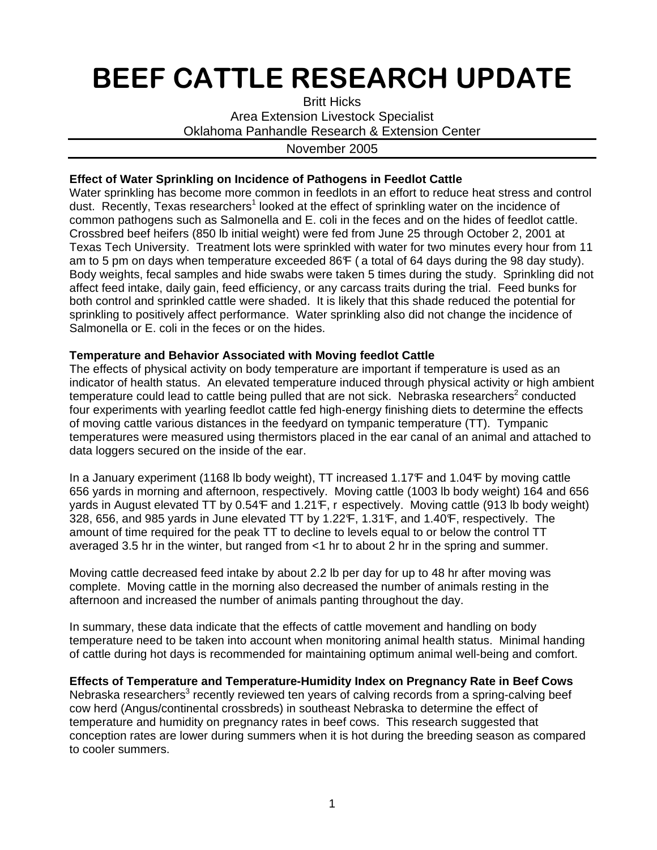# BEEF CATTLE RESEARCH UPDATE

Britt Hicks Area Extension Livestock Specialist Oklahoma Panhandle Research & Extension Center

### November 2005

## **Effect of Water Sprinkling on Incidence of Pathogens in Feedlot Cattle**

Water sprinkling has become more common in feedlots in an effort to reduce heat stress and control dust. Recently, Texas researchers<sup>1</sup> looked at the effect of sprinkling water on the incidence of common pathogens such as Salmonella and E. coli in the feces and on the hides of feedlot cattle. Crossbred beef heifers (850 lb initial weight) were fed from June 25 through October 2, 2001 at Texas Tech University. Treatment lots were sprinkled with water for two minutes every hour from 11 am to 5 pm on days when temperature exceeded 86F (a total of 64 days during the 98 day study). Body weights, fecal samples and hide swabs were taken 5 times during the study. Sprinkling did not affect feed intake, daily gain, feed efficiency, or any carcass traits during the trial. Feed bunks for both control and sprinkled cattle were shaded. It is likely that this shade reduced the potential for sprinkling to positively affect performance. Water sprinkling also did not change the incidence of Salmonella or E. coli in the feces or on the hides.

## **Temperature and Behavior Associated with Moving feedlot Cattle**

The effects of physical activity on body temperature are important if temperature is used as an indicator of health status. An elevated temperature induced through physical activity or high ambient temperature could lead to cattle being pulled that are not sick. Nebraska researchers<sup>2</sup> conducted four experiments with yearling feedlot cattle fed high-energy finishing diets to determine the effects of moving cattle various distances in the feedyard on tympanic temperature (TT). Tympanic temperatures were measured using thermistors placed in the ear canal of an animal and attached to data loggers secured on the inside of the ear.

In a January experiment (1168 lb body weight), TT increased 1.17F and 1.04F by moving cattle 656 yards in morning and afternoon, respectively. Moving cattle (1003 lb body weight) 164 and 656 yards in August elevated TT by 0.54 F and 1.21 F, r espectively. Moving cattle (913 lb body weight) 328, 656, and 985 yards in June elevated TT by 1.22F, 1.31F, and 1.40F, respectively. The amount of time required for the peak TT to decline to levels equal to or below the control TT averaged 3.5 hr in the winter, but ranged from <1 hr to about 2 hr in the spring and summer.

Moving cattle decreased feed intake by about 2.2 lb per day for up to 48 hr after moving was complete. Moving cattle in the morning also decreased the number of animals resting in the afternoon and increased the number of animals panting throughout the day.

In summary, these data indicate that the effects of cattle movement and handling on body temperature need to be taken into account when monitoring animal health status. Minimal handing of cattle during hot days is recommended for maintaining optimum animal well-being and comfort.

#### **Effects of Temperature and Temperature-Humidity Index on Pregnancy Rate in Beef Cows**

Nebraska researchers<sup>3</sup> recently reviewed ten years of calving records from a spring-calving beef cow herd (Angus/continental crossbreds) in southeast Nebraska to determine the effect of temperature and humidity on pregnancy rates in beef cows. This research suggested that conception rates are lower during summers when it is hot during the breeding season as compared to cooler summers.